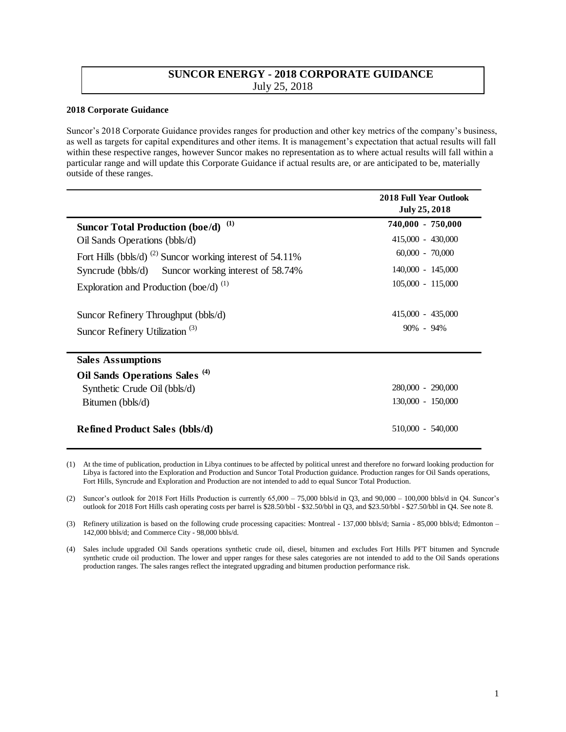## **SUNCOR ENERGY - 2018 CORPORATE GUIDANCE**  July 25, 2018

## **2018 Corporate Guidance**

Suncor's 2018 Corporate Guidance provides ranges for production and other key metrics of the company's business, as well as targets for capital expenditures and other items. It is management's expectation that actual results will fall within these respective ranges, however Suncor makes no representation as to where actual results will fall within a particular range and will update this Corporate Guidance if actual results are, or are anticipated to be, materially outside of these ranges.

|                                                                      | <b>2018 Full Year Outlook</b><br>July 25, 2018 |
|----------------------------------------------------------------------|------------------------------------------------|
| (1)<br><b>Suncor Total Production (boe/d)</b>                        | 740,000 - 750,000                              |
| Oil Sands Operations (bbls/d)                                        | $415,000 - 430,000$                            |
| Fort Hills (bbls/d) <sup>(2)</sup> Suncor working interest of 54.11% | $60,000 - 70,000$                              |
| Syncrude (bbls/d) Suncor working interest of 58.74%                  | $140,000 - 145,000$                            |
| Exploration and Production (boe/d) $^{(1)}$                          | $105,000 - 115,000$                            |
| Suncor Refinery Throughput (bbls/d)                                  | $415,000 - 435,000$                            |
| Suncor Refinery Utilization <sup>(3)</sup>                           | $90\% - 94\%$                                  |
| <b>Sales Assumptions</b>                                             |                                                |
| Oil Sands Operations Sales <sup>(4)</sup>                            |                                                |
| Synthetic Crude Oil (bbls/d)                                         | $280,000 - 290,000$                            |
| Bitumen (bbls/d)                                                     | 130,000 - 150,000                              |
| <b>Refined Product Sales (bbls/d)</b>                                | 510,000 - 540,000                              |

<sup>(1)</sup> At the time of publication, production in Libya continues to be affected by political unrest and therefore no forward looking production for Libya is factored into the Exploration and Production and Suncor Total Production guidance. Production ranges for Oil Sands operations, Fort Hills, Syncrude and Exploration and Production are not intended to add to equal Suncor Total Production.

(2) Suncor's outlook for 2018 Fort Hills Production is currently  $65,000 - 75,000$  bbls/d in O3, and  $90,000 - 100,000$  bbls/d in O4. Suncor's outlook for 2018 Fort Hills cash operating costs per barrel is \$28.50/bbl - \$32.50/bbl in Q3, and \$23.50/bbl - \$27.50/bbl in Q4. See note 8.

(3) Refinery utilization is based on the following crude processing capacities: Montreal - 137,000 bbls/d; Sarnia - 85,000 bbls/d; Edmonton – 142,000 bbls/d; and Commerce City - 98,000 bbls/d.

(4) Sales include upgraded Oil Sands operations synthetic crude oil, diesel, bitumen and excludes Fort Hills PFT bitumen and Syncrude synthetic crude oil production. The lower and upper ranges for these sales categories are not intended to add to the Oil Sands operations production ranges. The sales ranges reflect the integrated upgrading and bitumen production performance risk.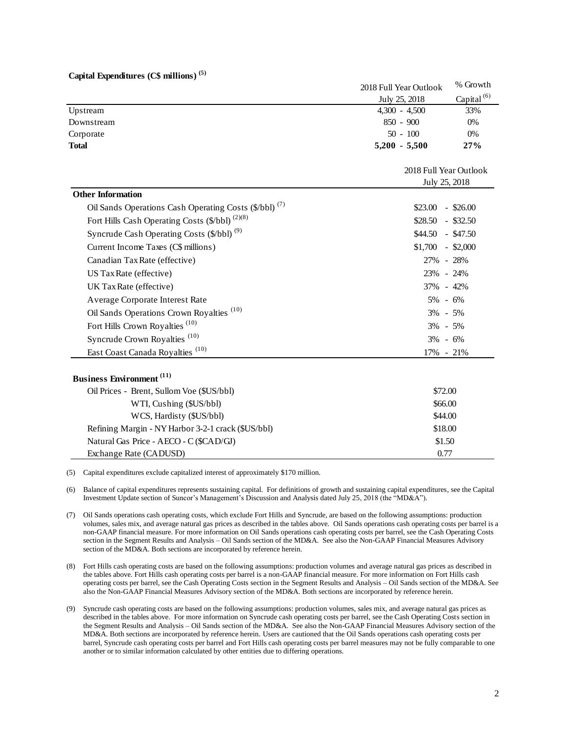|  | Capital Expenditures (C\$ millions) <sup>(5)</sup> |  |  |  |
|--|----------------------------------------------------|--|--|--|
|--|----------------------------------------------------|--|--|--|

|                                                                   | 2018 Full Year Outlook | % Growth               |  |
|-------------------------------------------------------------------|------------------------|------------------------|--|
|                                                                   | July 25, 2018          | Capital <sup>(6)</sup> |  |
| Upstream                                                          | $4,300 - 4,500$        | 33%                    |  |
| Downstream                                                        | $850 - 900$            | 0%                     |  |
| Corporate                                                         | $50 - 100$             | 0%                     |  |
| <b>Total</b>                                                      | $5,200 - 5,500$        | 27%                    |  |
|                                                                   |                        | 2018 Full Year Outlook |  |
|                                                                   |                        | July 25, 2018          |  |
| <b>Other Information</b>                                          |                        |                        |  |
| Oil Sands Operations Cash Operating Costs (\$/bbl) <sup>(7)</sup> | \$23.00                | $-$ \$26.00            |  |
| Fort Hills Cash Operating Costs (\$/bbl) <sup>(2)(8)</sup>        | $$28.50$ - \$32.50     |                        |  |
| Syncrude Cash Operating Costs (\$/bbl) <sup>(9)</sup>             | $$44.50$ - \$47.50     |                        |  |
| Current Income Taxes (C\$ millions)                               | $$1,700$ - \$2,000     |                        |  |
| Canadian Tax Rate (effective)                                     | 27% - 28%              |                        |  |
| US Tax Rate (effective)                                           | 23% - 24%              |                        |  |
| UK Tax Rate (effective)                                           | 37% - 42%              |                        |  |
| Average Corporate Interest Rate                                   | 5% - 6%                |                        |  |
| Oil Sands Operations Crown Royalties <sup>(10)</sup>              | 3% - 5%                |                        |  |
| Fort Hills Crown Royalties <sup>(10)</sup>                        | 3% - 5%                |                        |  |
| Syncrude Crown Royalties <sup>(10)</sup>                          | $3\% - 6\%$            |                        |  |
| East Coast Canada Royalties <sup>(10)</sup>                       | 17% - 21%              |                        |  |
| <b>Business Environment</b> (11)                                  |                        |                        |  |
| Oil Prices - Brent, Sullom Voe (\$US/bbl)                         |                        | \$72.00                |  |
| WTI, Cushing (\$US/bbl)                                           |                        | \$66.00                |  |
| WCS, Hardisty (\$US/bbl)                                          |                        | \$44.00                |  |
| Refining Margin - NY Harbor 3-2-1 crack (\$US/bbl)                |                        | \$18.00                |  |
| Natural Gas Price - AECO - C (\$CAD/GJ)                           |                        | \$1.50                 |  |
| Exchange Rate (CADUSD)                                            |                        | 0.77                   |  |

(5) Capital expenditures exclude capitalized interest of approximately \$170 million.

(6) Balance of capital expenditures represents sustaining capital. For definitions of growth and sustaining capital expenditures, see the Capital Investment Update section of Suncor's Management's Discussion and Analysis dated July 25, 2018 (the "MD&A").

- (7) Oil Sands operations cash operating costs, which exclude Fort Hills and Syncrude, are based on the following assumptions: production volumes, sales mix, and average natural gas prices as described in the tables above. Oil Sands operations cash operating costs per barrel is a non-GAAP financial measure. For more information on Oil Sands operations cash operating costs per barrel, see the Cash Operating Costs section in the Segment Results and Analysis – Oil Sands section of the MD&A. See also the Non-GAAP Financial Measures Advisory section of the MD&A. Both sections are incorporated by reference herein.
- (8) Fort Hills cash operating costs are based on the following assumptions: production volumes and average natural gas prices as described in the tables above. Fort Hills cash operating costs per barrel is a non-GAAP financial measure. For more information on Fort Hills cash operating costs per barrel, see the Cash Operating Costs section in the Segment Results and Analysis – Oil Sands section of the MD&A. See also the Non-GAAP Financial Measures Advisory section of the MD&A. Both sections are incorporated by reference herein.
- (9) Syncrude cash operating costs are based on the following assumptions: production volumes, sales mix, and average natural gas prices as described in the tables above. For more information on Syncrude cash operating costs per barrel, see the Cash Operating Costs section in the Segment Results and Analysis – Oil Sands section of the MD&A. See also the Non-GAAP Financial Measures Advisory section of the MD&A. Both sections are incorporated by reference herein. Users are cautioned that the Oil Sands operations cash operating costs per barrel, Syncrude cash operating costs per barrel and Fort Hills cash operating costs per barrel measures may not be fully comparable to one another or to similar information calculated by other entities due to differing operations.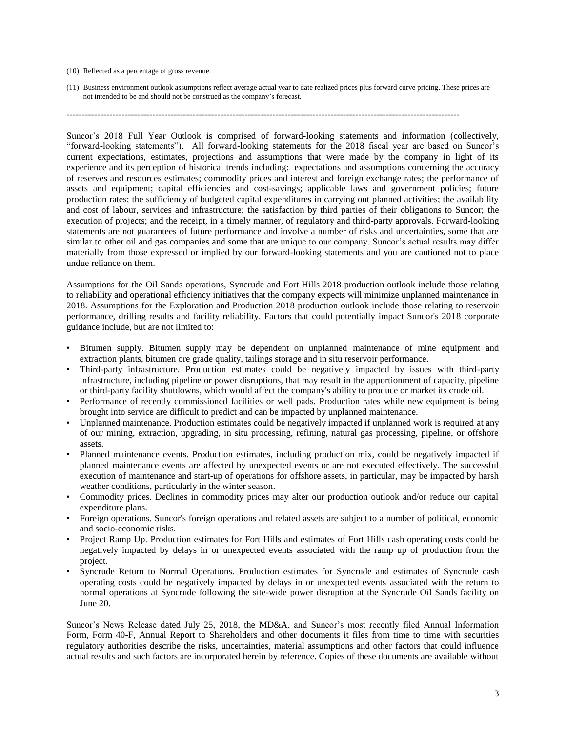## (10) Reflected as a percentage of gross revenue.

(11) Business environment outlook assumptions reflect average actual year to date realized prices plus forward curve pricing. These prices are not intended to be and should not be construed as the company's forecast.

Suncor's 2018 Full Year Outlook is comprised of forward-looking statements and information (collectively, "forward-looking statements"). All forward-looking statements for the 2018 fiscal year are based on Suncor's current expectations, estimates, projections and assumptions that were made by the company in light of its experience and its perception of historical trends including: expectations and assumptions concerning the accuracy of reserves and resources estimates; commodity prices and interest and foreign exchange rates; the performance of assets and equipment; capital efficiencies and cost-savings; applicable laws and government policies; future production rates; the sufficiency of budgeted capital expenditures in carrying out planned activities; the availability and cost of labour, services and infrastructure; the satisfaction by third parties of their obligations to Suncor; the execution of projects; and the receipt, in a timely manner, of regulatory and third-party approvals. Forward-looking statements are not guarantees of future performance and involve a number of risks and uncertainties, some that are similar to other oil and gas companies and some that are unique to our company. Suncor's actual results may differ materially from those expressed or implied by our forward-looking statements and you are cautioned not to place undue reliance on them.

Assumptions for the Oil Sands operations, Syncrude and Fort Hills 2018 production outlook include those relating to reliability and operational efficiency initiatives that the company expects will minimize unplanned maintenance in 2018. Assumptions for the Exploration and Production 2018 production outlook include those relating to reservoir performance, drilling results and facility reliability. Factors that could potentially impact Suncor's 2018 corporate guidance include, but are not limited to:

- Bitumen supply. Bitumen supply may be dependent on unplanned maintenance of mine equipment and extraction plants, bitumen ore grade quality, tailings storage and in situ reservoir performance.
- Third-party infrastructure. Production estimates could be negatively impacted by issues with third-party infrastructure, including pipeline or power disruptions, that may result in the apportionment of capacity, pipeline or third-party facility shutdowns, which would affect the company's ability to produce or market its crude oil.
- Performance of recently commissioned facilities or well pads. Production rates while new equipment is being brought into service are difficult to predict and can be impacted by unplanned maintenance.
- Unplanned maintenance. Production estimates could be negatively impacted if unplanned work is required at any of our mining, extraction, upgrading, in situ processing, refining, natural gas processing, pipeline, or offshore assets.
- Planned maintenance events. Production estimates, including production mix, could be negatively impacted if planned maintenance events are affected by unexpected events or are not executed effectively. The successful execution of maintenance and start-up of operations for offshore assets, in particular, may be impacted by harsh weather conditions, particularly in the winter season.
- Commodity prices. Declines in commodity prices may alter our production outlook and/or reduce our capital expenditure plans.
- Foreign operations. Suncor's foreign operations and related assets are subject to a number of political, economic and socio-economic risks.
- Project Ramp Up. Production estimates for Fort Hills and estimates of Fort Hills cash operating costs could be negatively impacted by delays in or unexpected events associated with the ramp up of production from the project.
- Syncrude Return to Normal Operations. Production estimates for Syncrude and estimates of Syncrude cash operating costs could be negatively impacted by delays in or unexpected events associated with the return to normal operations at Syncrude following the site-wide power disruption at the Syncrude Oil Sands facility on June 20.

Suncor's News Release dated July 25, 2018, the MD&A, and Suncor's most recently filed Annual Information Form, Form 40-F, Annual Report to Shareholders and other documents it files from time to time with securities regulatory authorities describe the risks, uncertainties, material assumptions and other factors that could influence actual results and such factors are incorporated herein by reference. Copies of these documents are available without